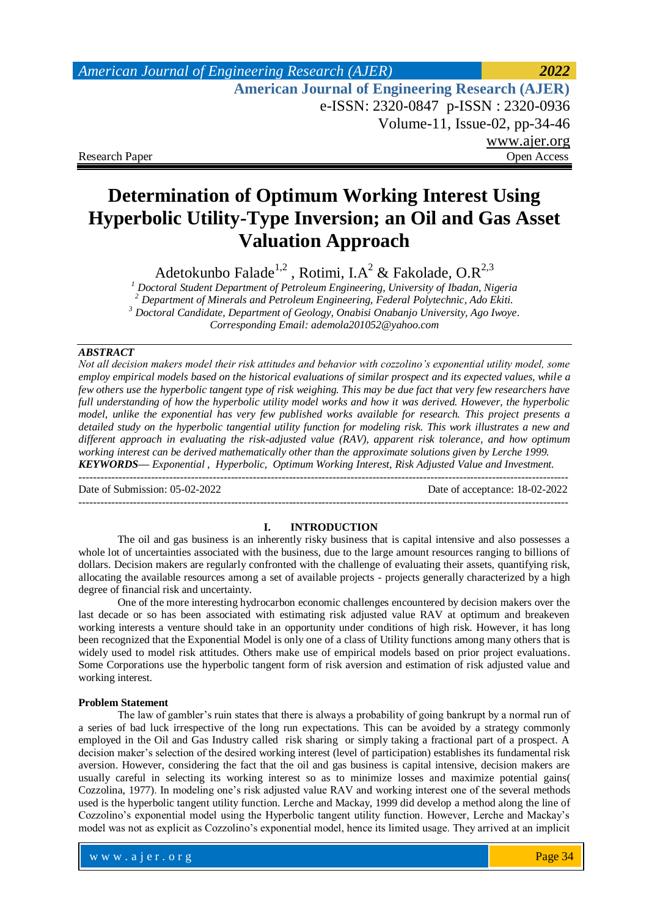# *American Journal of Engineering Research (AJER) 2022*  **American Journal of Engineering Research (AJER)** e-ISSN: 2320-0847 p-ISSN : 2320-0936 Volume-11, Issue-02, pp-34-46 www.ajer.org Research Paper **Open Access** Open Access **Open Access**

# **Determination of Optimum Working Interest Using Hyperbolic Utility-Type Inversion; an Oil and Gas Asset Valuation Approach**

Adetokunbo Falade<sup>1,2</sup>, Rotimi, I.A<sup>2</sup> & Fakolade, O.R<sup>2,3</sup>

 *Doctoral Student Department of Petroleum Engineering, University of Ibadan, Nigeria Department of Minerals and Petroleum Engineering, Federal Polytechnic, Ado Ekiti. Doctoral Candidate, Department of Geology, Onabisi Onabanjo University, Ago Iwoye. Corresponding Email[: ademola201052@yahoo.com](mailto:ademola201052@yahoo.com)*

## *ABSTRACT*

*Not all decision makers model their risk attitudes and behavior with cozzolino's exponential utility model, some employ empirical models based on the historical evaluations of similar prospect and its expected values, while a few others use the hyperbolic tangent type of risk weighing. This may be due fact that very few researchers have full understanding of how the hyperbolic utility model works and how it was derived. However, the hyperbolic model, unlike the exponential has very few published works available for research. This project presents a detailed study on the hyperbolic tangential utility function for modeling risk. This work illustrates a new and different approach in evaluating the risk-adjusted value (RAV), apparent risk tolerance, and how optimum working interest can be derived mathematically other than the approximate solutions given by Lerche 1999. KEYWORDS— Exponential , Hyperbolic, Optimum Working Interest, Risk Adjusted Value and Investment.*

Date of Submission: 05-02-2022 Date of acceptance: 18-02-2022 ---------------------------------------------------------------------------------------------------------------------------------------

---------------------------------------------------------------------------------------------------------------------------------------

## **I. INTRODUCTION**

The oil and gas business is an inherently risky business that is capital intensive and also possesses a whole lot of uncertainties associated with the business, due to the large amount resources ranging to billions of dollars. Decision makers are regularly confronted with the challenge of evaluating their assets, quantifying risk, allocating the available resources among a set of available projects - projects generally characterized by a high degree of financial risk and uncertainty.

One of the more interesting hydrocarbon economic challenges encountered by decision makers over the last decade or so has been associated with estimating risk adjusted value RAV at optimum and breakeven working interests a venture should take in an opportunity under conditions of high risk. However, it has long been recognized that the Exponential Model is only one of a class of Utility functions among many others that is widely used to model risk attitudes. Others make use of empirical models based on prior project evaluations. Some Corporations use the hyperbolic tangent form of risk aversion and estimation of risk adjusted value and working interest.

## **Problem Statement**

The law of gambler's ruin states that there is always a probability of going bankrupt by a normal run of a series of bad luck irrespective of the long run expectations. This can be avoided by a strategy commonly employed in the Oil and Gas Industry called risk sharing or simply taking a fractional part of a prospect. A decision maker's selection of the desired working interest (level of participation) establishes its fundamental risk aversion. However, considering the fact that the oil and gas business is capital intensive, decision makers are usually careful in selecting its working interest so as to minimize losses and maximize potential gains( Cozzolina, 1977). In modeling one's risk adjusted value RAV and working interest one of the several methods used is the hyperbolic tangent utility function. Lerche and Mackay, 1999 did develop a method along the line of Cozzolino's exponential model using the Hyperbolic tangent utility function. However, Lerche and Mackay's model was not as explicit as Cozzolino's exponential model, hence its limited usage. They arrived at an implicit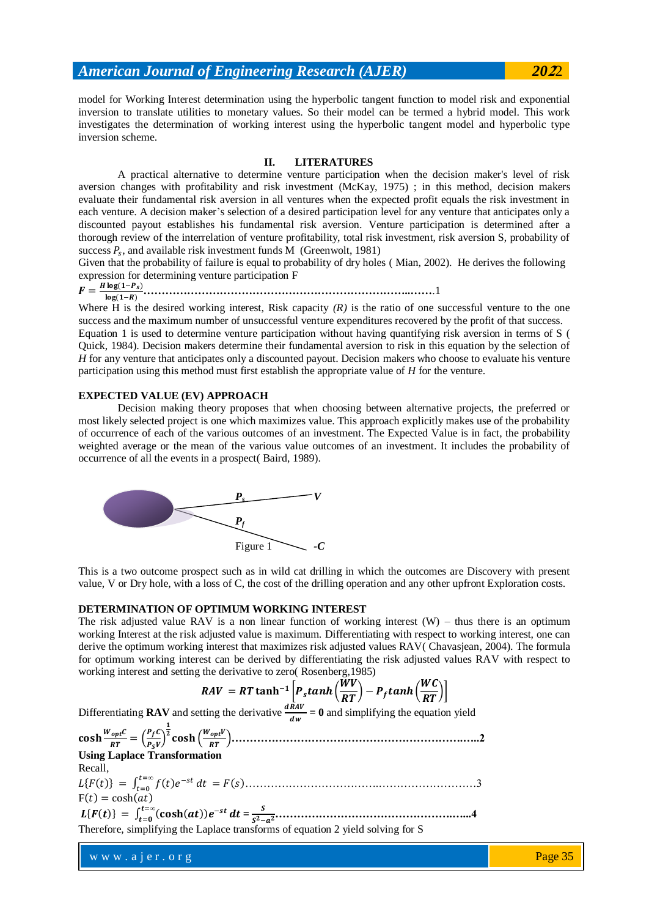model for Working Interest determination using the hyperbolic tangent function to model risk and exponential inversion to translate utilities to monetary values. So their model can be termed a hybrid model. This work investigates the determination of working interest using the hyperbolic tangent model and hyperbolic type inversion scheme.

## **II. LITERATURES**

A practical alternative to determine venture participation when the decision maker's level of risk aversion changes with profitability and risk investment (McKay, 1975) ; in this method, decision makers evaluate their fundamental risk aversion in all ventures when the expected profit equals the risk investment in each venture. A decision maker's selection of a desired participation level for any venture that anticipates only a discounted payout establishes his fundamental risk aversion. Venture participation is determined after a thorough review of the interrelation of venture profitability, total risk investment, risk aversion S, probability of success  $P_s$ , and available risk investment funds M (Greenwolt, 1981)

Given that the probability of failure is equal to probability of dry holes ( Mian, 2002). He derives the following expression for determining venture participation F

#### $F=\frac{H}{A}$ **………………………………………………………………..……**.1

participation using this method must first establish the appropriate value of *H* for the venture.

Where H is the desired working interest, Risk capacity  $(R)$  is the ratio of one successful venture to the one success and the maximum number of unsuccessful venture expenditures recovered by the profit of that success. Equation 1 is used to determine venture participation without having quantifying risk aversion in terms of S ( Quick, 1984). Decision makers determine their fundamental aversion to risk in this equation by the selection of *H* for any venture that anticipates only a discounted payout. Decision makers who choose to evaluate his venture

## **EXPECTED VALUE (EV) APPROACH**

Decision making theory proposes that when choosing between alternative projects, the preferred or most likely selected project is one which maximizes value. This approach explicitly makes use of the probability of occurrence of each of the various outcomes of an investment. The Expected Value is in fact, the probability weighted average or the mean of the various value outcomes of an investment. It includes the probability of occurrence of all the events in a prospect( Baird, 1989).



This is a two outcome prospect such as in wild cat drilling in which the outcomes are Discovery with present value, V or Dry hole, with a loss of C, the cost of the drilling operation and any other upfront Exploration costs.

## **DETERMINATION OF OPTIMUM WORKING INTEREST**

The risk adjusted value RAV is a non linear function of working interest  $(W)$  – thus there is an optimum working Interest at the risk adjusted value is maximum. Differentiating with respect to working interest, one can derive the optimum working interest that maximizes risk adjusted values RAV( Chavasjean, 2004). The formula for optimum working interest can be derived by differentiating the risk adjusted values RAV with respect to working interest and setting the derivative to zero( Rosenberg,1985)

#### $RAV = RT \tanh^{-1}\left[P_s \tanh\left(\frac{W}{R}\right)\right]$  $\frac{WV}{RT}\Big) - P_{f} tanh\Big(\frac{W}{R}\Big)$  $\boldsymbol{R}$

Differentiating **RAV** and setting the derivative  $\frac{dRAV}{dw} = 0$  and simplifying the equation yield

 $\cosh \frac{W_{opt}C}{RT} = \left(\frac{P}{P}\right)$  $\frac{Y}{P_S V}$  **……………………………………………………….…..2 Using Laplace Transformation** Recall, ……………………………….………………………3 F(

 $L\{F(t)\} = \int_{t=0}^{t=\infty} (\cosh(at))e^{-st} dt = \frac{S}{S^2-1}$  **………………………………………….…...4** Therefore, simplifying the Laplace transforms of equation 2 yield solving for S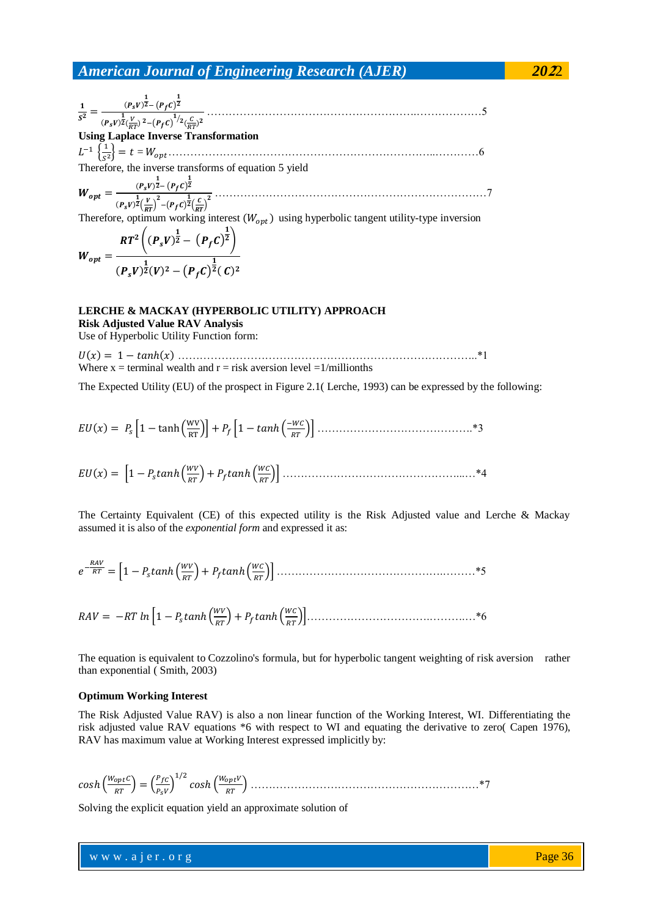………………………………………………….………………5 **Using Laplace Inverse Transformation** = ………………………………………………………………..…………6 Therefore, the inverse transforms of equation 5 yield …………………………………………………………………7 Therefore, optimum working interest using hyperbolic tangent utility-type inversion 

$$
W_{opt} = \frac{W_{opt}}{(P_s V)^{\frac{1}{2}}(V)^2 - (P_f C)^{\frac{1}{2}}(C)^2}
$$

## **LERCHE & MACKAY (HYPERBOLIC UTILITY) APPROACH Risk Adjusted Value RAV Analysis**

Use of Hyperbolic Utility Function form:

 ………………………………………………………………………..\*1 Where  $x =$  terminal wealth and  $r =$  risk aversion level  $= 1/m$ illionths

The Expected Utility (EU) of the prospect in Figure 2.1( Lerche, 1993) can be expressed by the following:

 …………………………………….\*3

 $EU(x) = \left[1 - P_{\rm s} \tanh\left(\frac{W}{R}\right)\right]$ …………………………………………...…\*4

The Certainty Equivalent (CE) of this expected utility is the Risk Adjusted value and Lerche & Mackay assumed it is also of the *exponential form* and expressed it as:

$$
e^{-\frac{RAV}{RT}} = \left[1 - P_s \tanh\left(\frac{WV}{RT}\right) + P_f \tanh\left(\frac{WC}{RT}\right)\right] \dots
$$

$$
RAV = -RT \ln \left[ 1 - P_s \tanh \left( \frac{WV}{RT} \right) + P_f \tanh \left( \frac{W C}{RT} \right) \right] \dots
$$

The equation is equivalent to Cozzolino's formula, but for hyperbolic tangent weighting of risk aversion rather than exponential ( Smith, 2003)

#### **Optimum Working Interest**

The Risk Adjusted Value RAV) is also a non linear function of the Working Interest, WI. Differentiating the risk adjusted value RAV equations \*6 with respect to WI and equating the derivative to zero( Capen 1976), RAV has maximum value at Working Interest expressed implicitly by:

 ………………………………………………………\*7

Solving the explicit equation yield an approximate solution of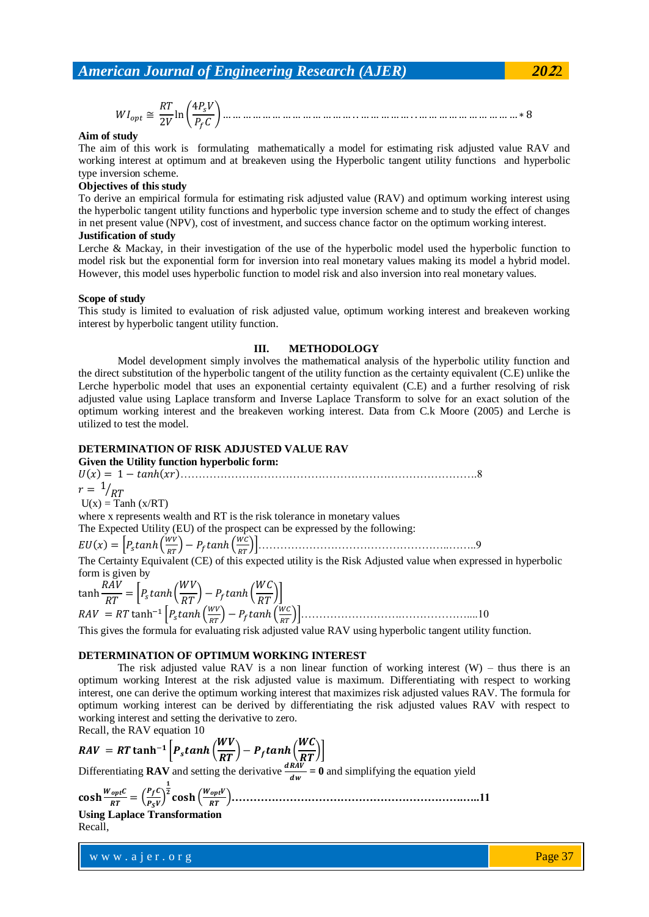## **Aim of study**

The aim of this work is formulating mathematically a model for estimating risk adjusted value RAV and working interest at optimum and at breakeven using the Hyperbolic tangent utility functions and hyperbolic type inversion scheme.

#### **Objectives of this study**

To derive an empirical formula for estimating risk adjusted value (RAV) and optimum working interest using the hyperbolic tangent utility functions and hyperbolic type inversion scheme and to study the effect of changes in net present value (NPV), cost of investment, and success chance factor on the optimum working interest.

#### **Justification of study**

Lerche & Mackay, in their investigation of the use of the hyperbolic model used the hyperbolic function to model risk but the exponential form for inversion into real monetary values making its model a hybrid model. However, this model uses hyperbolic function to model risk and also inversion into real monetary values.

#### **Scope of study**

This study is limited to evaluation of risk adjusted value, optimum working interest and breakeven working interest by hyperbolic tangent utility function.

## **III. METHODOLOGY**

Model development simply involves the mathematical analysis of the hyperbolic utility function and the direct substitution of the hyperbolic tangent of the utility function as the certainty equivalent (C.E) unlike the Lerche hyperbolic model that uses an exponential certainty equivalent (C.E) and a further resolving of risk adjusted value using Laplace transform and Inverse Laplace Transform to solve for an exact solution of the optimum working interest and the breakeven working interest. Data from C.k Moore (2005) and Lerche is utilized to test the model.

#### **DETERMINATION OF RISK ADJUSTED VALUE RAV**

#### **Given the Utility function hyperbolic form:** ……………………………………………………………………….8  $r = \frac{1}{R}$  $U(x) = \text{Tanh}(x/RT)$ where x represents wealth and RT is the risk tolerance in monetary values The Expected Utility (EU) of the prospect can be expressed by the following:  $EU(x) = \left[ P_{\rm s} \tanh \left( \frac{W}{R}\right) \right]$  ……………………………………………..……..9 The Certainty Equivalent (CE) of this expected utility is the Risk Adjusted value when expressed in hyperbolic form is given by  $\tanh \frac{R}{L}$  $\frac{RAV}{RT} = \Big[ P_s \tanh\Big(\frac{W}{R}\Big)$  $\left(\frac{W V}{R T}\right)$  –  $P_f$ tanh $\left(\frac{W}{R}\right)$  $\boldsymbol{R}$  $RAV = RT \tanh^{-1}\left[P_{\rm s} \tanh\left(\frac{W}{R}\right)\right]$ ……………………….………………....10

This gives the formula for evaluating risk adjusted value RAV using hyperbolic tangent utility function.

## **DETERMINATION OF OPTIMUM WORKING INTEREST**

The risk adjusted value RAV is a non linear function of working interest  $(W)$  – thus there is an optimum working Interest at the risk adjusted value is maximum. Differentiating with respect to working interest, one can derive the optimum working interest that maximizes risk adjusted values RAV. The formula for optimum working interest can be derived by differentiating the risk adjusted values RAV with respect to working interest and setting the derivative to zero. Recall, the RAV equation 10

$$
RAV = RT \tanh^{-1}\left[P_s \tanh\left(\frac{WV}{RT}\right) - P_f \tanh\left(\frac{WC}{RT}\right)\right]
$$

Differentiating **RAV** and setting the derivative  $\frac{dRAV}{dw} = 0$  and simplifying the equation yield

 **……………………………………………………….…..11**

## **Using Laplace Transformation** Recall,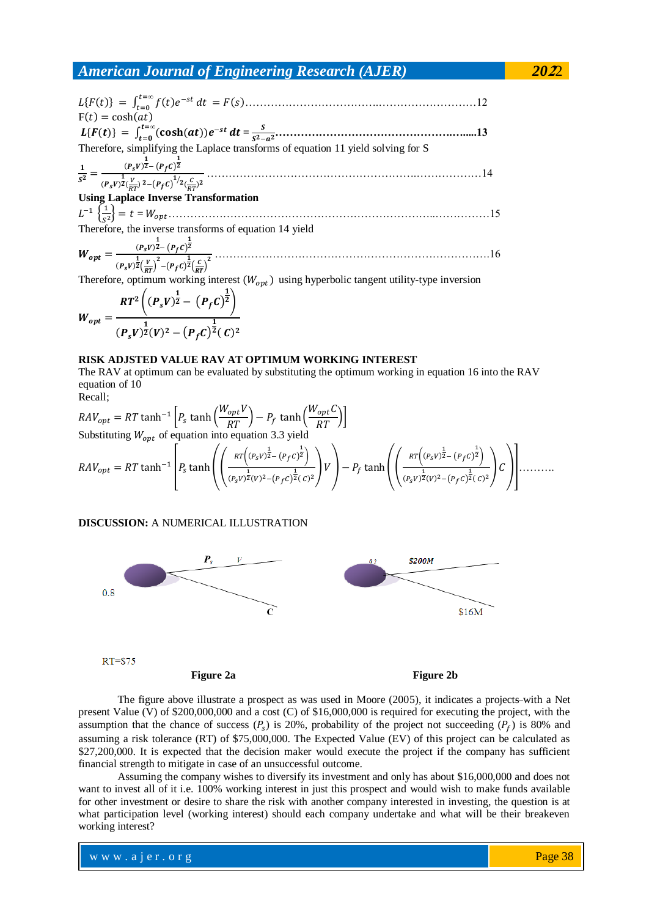$$
L\{F(t)\} = \int_{t=0}^{t=\infty} f(t)e^{-st} dt = F(s) \dots
$$
  
\n
$$
F(t) = \cosh(at)
$$
  
\n
$$
L\{F(t)\} = \int_{t=0}^{t=\infty} (\cosh(at))e^{-st} dt = \frac{s}{s^2 - a^2} \dots
$$
  
\nTherefore, simplifying the Laplace transforms of equation 11 yield solving for S  
\n
$$
\frac{1}{s^2} = \frac{(P_s v)^{\frac{1}{2}} - (P_f c)^{\frac{1}{2}}}{(P_s v)^{\frac{1}{2}} \left(\frac{V}{RT}\right)^2 - (P_f c)^{\frac{1}{2}} \left(\frac{C}{RT}\right)^2} \dots
$$

**Using Laplace Inverse Transformation**

 $L^{-1} \left\{ \frac{1}{\epsilon} \right\}$  = ………………………………………………………………..……………15 Therefore, the inverse transforms of equation 14 yield

 ………………………………………………………………….16

Therefore, optimum working interest  $(W_{opt})$  using hyperbolic tangent utility-type inversion

$$
W_{opt} = \frac{RT^2 \left( (P_s V)^{\frac{1}{2}} - (P_f C)^{\frac{1}{2}} \right)}{(P_s V)^{\frac{1}{2}} (V)^2 - (P_f C)^{\frac{1}{2}} (C)^2}
$$

## **RISK ADJSTED VALUE RAV AT OPTIMUM WORKING INTEREST**

The RAV at optimum can be evaluated by substituting the optimum working in equation 16 into the RAV equation of 10

$$
RAV_{opt} = RT \tanh^{-1} \left[ P_s \tanh\left(\frac{W_{opt}V}{RT}\right) - P_f \tanh\left(\frac{W_{opt}C}{RT}\right) \right]
$$
  
Substituting  $W_{opt}$  of equation into equation 3.3 yield  

$$
RAV_{opt} = RT \tanh^{-1} \left[ P_s \tanh\left(\left(\frac{RT\left((P_sV)^{\frac{1}{2}} - (P_fC)^{\frac{1}{2}}\right)}{(P_sV)^{\frac{1}{2}}(V)^2 - (P_fC)^{\frac{1}{2}}(C)^2}\right)V\right) - P_f \tanh\left(\left(\frac{RT\left((P_sV)^{\frac{1}{2}} - (P_fC)^{\frac{1}{2}}\right)}{(P_sV)^{\frac{1}{2}}(V)^2 - (P_fC)^{\frac{1}{2}}(C)^2}\right)C\right) \right] \dots
$$

## **DISCUSSION:** A NUMERICAL ILLUSTRATION



 $RT = $75$ 

Recall;

## Figure 2a Figure 2b

The figure above illustrate a prospect as was used in Moore (2005), it indicates a projects-with a Net present Value (V) of \$200,000,000 and a cost (C) of \$16,000,000 is required for executing the project, with the assumption that the chance of success  $(P_s)$  is 20%, probability of the project not succeeding  $(P_f)$  is 80% and assuming a risk tolerance (RT) of \$75,000,000. The Expected Value (EV) of this project can be calculated as \$27,200,000. It is expected that the decision maker would execute the project if the company has sufficient financial strength to mitigate in case of an unsuccessful outcome.

Assuming the company wishes to diversify its investment and only has about \$16,000,000 and does not want to invest all of it i.e. 100% working interest in just this prospect and would wish to make funds available for other investment or desire to share the risk with another company interested in investing, the question is at what participation level (working interest) should each company undertake and what will be their breakeven working interest?

w w w . a j e r . o r g w w w . a j e r . o r g Page 38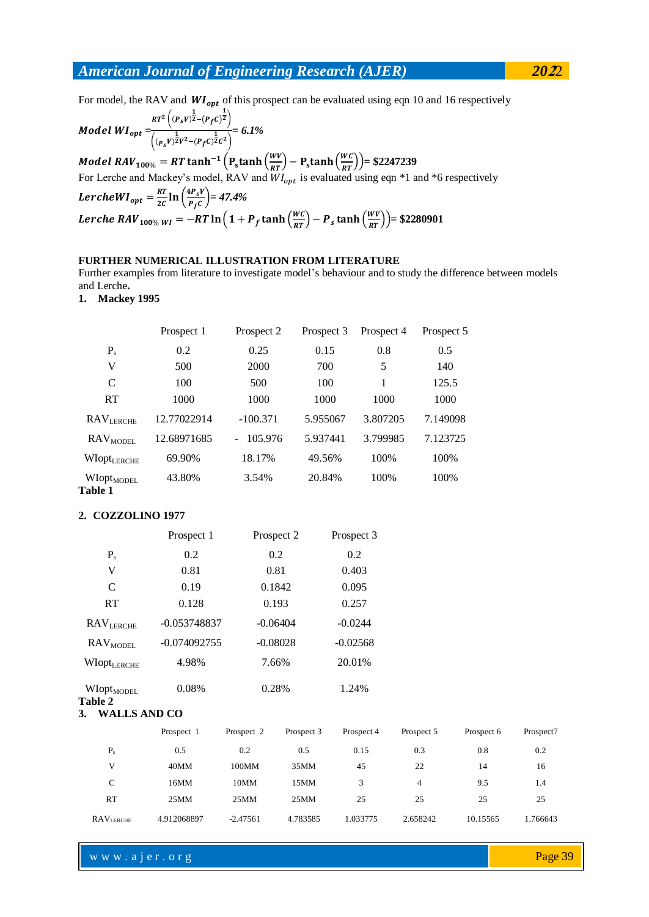For model, the RAV and  $WI_{opt}$  of this prospect can be evaluated using eqn 10 and 16 respectively

$$
Model~WI_{opt} = \frac{\kappa r^2 \left( (P_s v)^{\frac{1}{2}} - (P_f c)^{\frac{1}{2}} \right)}{\left( (P_s v)^{\frac{1}{2}} v^2 - (P_f c)^{\frac{1}{2}} c^2 \right)} = 6.1\%
$$

*Model RAV*<sub>100%</sub> = *RT* tanh<sup>-1</sup> (P<sub>s</sub>tanh ( $\frac{W}{R}$ )  $\frac{WV}{RT}$ ) – P<sub>s</sub>tanh $\left(\frac{WC}{RT}\right)$ ) = \$2247239 For Lerche and Mackey's model, RAV and  $WI_{opt}$  is evaluated using eqn \*1 and \*6 respectively LercheWI<sub>opt</sub> =  $\frac{R}{2}$  $\frac{RT}{2C}$  ln  $\left(\frac{4}{l}\right)$  $\frac{r_{s}r_{s}}{P_{f}c}$  = 47.4% *Lerche RAV*<sub>100%</sub>  $_{WI} = -RT \ln \left( 1 + P_f \tanh \left( \frac{W}{R} \right) \right)$  $\frac{W}{RT}$ ) –  $P_s$  tanh $\left(\frac{WV}{RT}\right)$ ) = \$2280901

## **FURTHER NUMERICAL ILLUSTRATION FROM LITERATURE**

Further examples from literature to investigate model's behaviour and to study the difference between models and Lerche**.** 

**1. Mackey 1995**

|                                   | Prospect 1  | Prospect 2 | Prospect 3 | Prospect 4 | Prospect 5 |
|-----------------------------------|-------------|------------|------------|------------|------------|
| $P_{s}$                           | 0.2         | 0.25       | 0.15       | 0.8        | 0.5        |
| V                                 | 500         | 2000       | 700        | 5          | 140        |
| $\mathcal{C}$                     | 100         | 500        | 100        | 1          | 125.5      |
| RT                                | 1000        | 1000       | 1000       | 1000       | 1000       |
| <b>RAVLERCHE</b>                  | 12.77022914 | $-100.371$ | 5.955067   | 3.807205   | 7.149098   |
| <b>RAV</b> <sub>MODEL</sub>       | 12.68971685 | 105.976    | 5.937441   | 3.799985   | 7.123725   |
| WIOPULERCHE                       | 69.90%      | 18.17%     | 49.56%     | 100%       | 100%       |
| WIOPt <sub>MODEL</sub><br>Table 1 | 43.80%      | 3.54%      | 20.84%     | 100%       | 100%       |

## **2. COZZOLINO 1977**

| Prospect 1          |            |            | Prospect 3                                                                  |            |            |           |
|---------------------|------------|------------|-----------------------------------------------------------------------------|------------|------------|-----------|
| 0.2                 | 0.2        |            | 0.2                                                                         |            |            |           |
| 0.81                | 0.81       |            | 0.403                                                                       |            |            |           |
| 0.19                |            |            | 0.095                                                                       |            |            |           |
| 0.128               |            |            | 0.257                                                                       |            |            |           |
| $-0.053748837$      |            |            | $-0.0244$                                                                   |            |            |           |
| $-0.074092755$      |            |            | $-0.02568$                                                                  |            |            |           |
| 4.98%               |            |            | 20.01%                                                                      |            |            |           |
| 0.08%               |            |            | 1.24%                                                                       |            |            |           |
| <b>WALLS AND CO</b> |            |            |                                                                             |            |            |           |
| Prospect 1          | Prospect 2 | Prospect 3 | Prospect 4                                                                  | Prospect 5 | Prospect 6 | Prospect7 |
| 0.5                 | 0.2        | 0.5        | 0.15                                                                        | 0.3        | 0.8        | 0.2       |
| 40MM                | 100MM      | 35MM       | 45                                                                          | 22         | 14         | 16        |
| 16MM                | 10MM       | 15MM       | 3                                                                           | 4          | 9.5        | 1.4       |
| 25MM                | 25MM       | 25MM       | 25                                                                          | 25         | 25         | 25        |
| 4.912068897         | $-2.47561$ | 4.783585   | 1.033775                                                                    | 2.658242   | 10.15565   | 1.766643  |
|                     |            |            | Prospect 2<br>0.1842<br>0.193<br>$-0.06404$<br>$-0.08028$<br>7.66%<br>0.28% |            |            |           |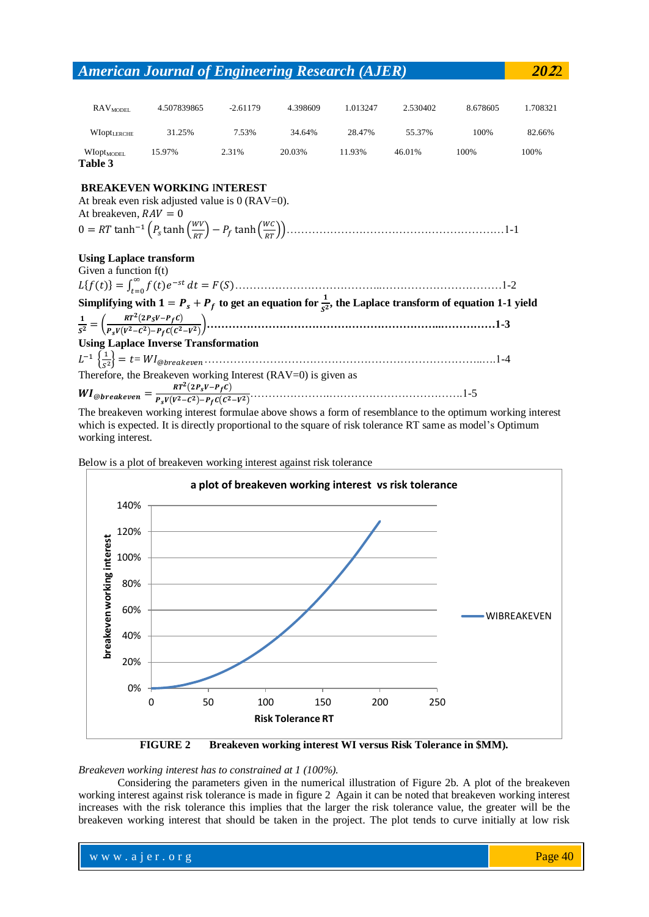| $\mathrm{RAV}_{\mathrm{MDDEL}}$                           | 4.507839865                                                                                                                                                                                                                                                                                                          | $-2.61179$ | 4.398609 | 1.013247 | 2.530402 | 8.678605 | 1.708321 |
|-----------------------------------------------------------|----------------------------------------------------------------------------------------------------------------------------------------------------------------------------------------------------------------------------------------------------------------------------------------------------------------------|------------|----------|----------|----------|----------|----------|
| <b>WIOPULERCHE</b>                                        | 31.25%                                                                                                                                                                                                                                                                                                               | 7.53%      | 34.64%   | 28.47%   | 55.37%   | 100%     | 82.66%   |
| WIOPt <sub>MODEL</sub><br>Table 3                         | 15.97%                                                                                                                                                                                                                                                                                                               | 2.31%      | 20.03%   | 11.93%   | 46.01%   | 100%     | 100%     |
| At breakeven, $RAV = 0$                                   | <b>BREAKEVEN WORKING INTEREST</b><br>At break even risk adjusted value is $0$ (RAV=0).                                                                                                                                                                                                                               |            |          |          |          |          |          |
| <b>Using Laplace transform</b><br>Given a function $f(t)$ |                                                                                                                                                                                                                                                                                                                      |            |          |          |          |          |          |
|                                                           |                                                                                                                                                                                                                                                                                                                      |            |          |          |          |          |          |
|                                                           | Simplifying with $1 = P_s + P_f$ to get an equation for $\frac{1}{s^2}$ , the Laplace transform of equation 1-1 yield                                                                                                                                                                                                |            |          |          |          |          |          |
|                                                           |                                                                                                                                                                                                                                                                                                                      |            |          |          |          |          |          |
|                                                           | <b>Using Laplace Inverse Transformation</b>                                                                                                                                                                                                                                                                          |            |          |          |          |          |          |
|                                                           | $L^{-1}\left\{\frac{1}{2}\right\} = t = WI_{\textcircled{}}$ $\frac{1}{4}$ and $\frac{1}{4}$ and $\frac{1}{4}$ and $\frac{1}{4}$ and $\frac{1}{4}$ and $\frac{1}{4}$ and $\frac{1}{4}$ and $\frac{1}{4}$ and $\frac{1}{4}$ and $\frac{1}{4}$ and $\frac{1}{4}$ and $\frac{1}{4}$ and $\frac{1}{4}$ and $\frac{1}{4}$ |            |          |          |          |          |          |
|                                                           | Therefore, the Breakeven working Interest (RAV=0) is given as                                                                                                                                                                                                                                                        |            |          |          |          |          |          |
|                                                           |                                                                                                                                                                                                                                                                                                                      |            |          |          |          |          |          |
|                                                           | The breakeven working interest formulae above shows a form of resemblance to the optimum working interest                                                                                                                                                                                                            |            |          |          |          |          |          |

which is expected. It is directly proportional to the square of risk tolerance RT same as model's Optimum working interest.

Below is a plot of breakeven working interest against risk tolerance



**FIGURE 2 Breakeven working interest WI versus Risk Tolerance in \$MM).**

*Breakeven working interest has to constrained at 1 (100%).*

Considering the parameters given in the numerical illustration of Figure 2b. A plot of the breakeven working interest against risk tolerance is made in figure 2 Again it can be noted that breakeven working interest increases with the risk tolerance this implies that the larger the risk tolerance value, the greater will be the breakeven working interest that should be taken in the project. The plot tends to curve initially at low risk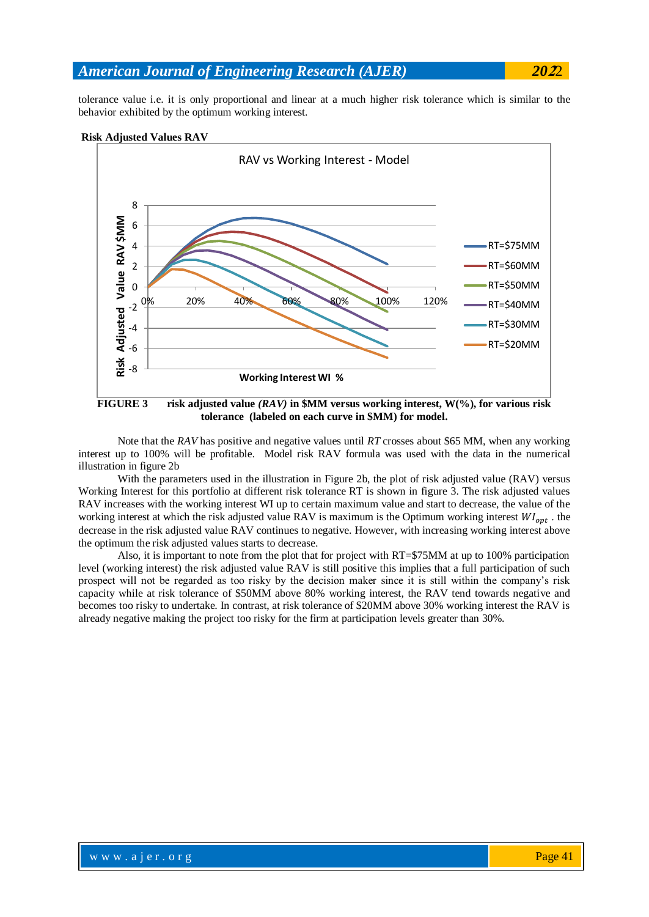tolerance value i.e. it is only proportional and linear at a much higher risk tolerance which is similar to the behavior exhibited by the optimum working interest.

## **Risk Adjusted Values RAV**



**tolerance (labeled on each curve in \$MM) for model.**

Note that the *RAV* has positive and negative values until *RT* crosses about \$65 MM, when any working interest up to 100% will be profitable. Model risk RAV formula was used with the data in the numerical illustration in figure 2b

With the parameters used in the illustration in Figure 2b, the plot of risk adjusted value (RAV) versus Working Interest for this portfolio at different risk tolerance RT is shown in figure 3. The risk adjusted values RAV increases with the working interest WI up to certain maximum value and start to decrease, the value of the working interest at which the risk adjusted value RAV is maximum is the Optimum working interest  $WI_{opt}$ . the decrease in the risk adjusted value RAV continues to negative. However, with increasing working interest above the optimum the risk adjusted values starts to decrease.

Also, it is important to note from the plot that for project with RT=\$75MM at up to 100% participation level (working interest) the risk adjusted value RAV is still positive this implies that a full participation of such prospect will not be regarded as too risky by the decision maker since it is still within the company's risk capacity while at risk tolerance of \$50MM above 80% working interest, the RAV tend towards negative and becomes too risky to undertake. In contrast, at risk tolerance of \$20MM above 30% working interest the RAV is already negative making the project too risky for the firm at participation levels greater than 30%.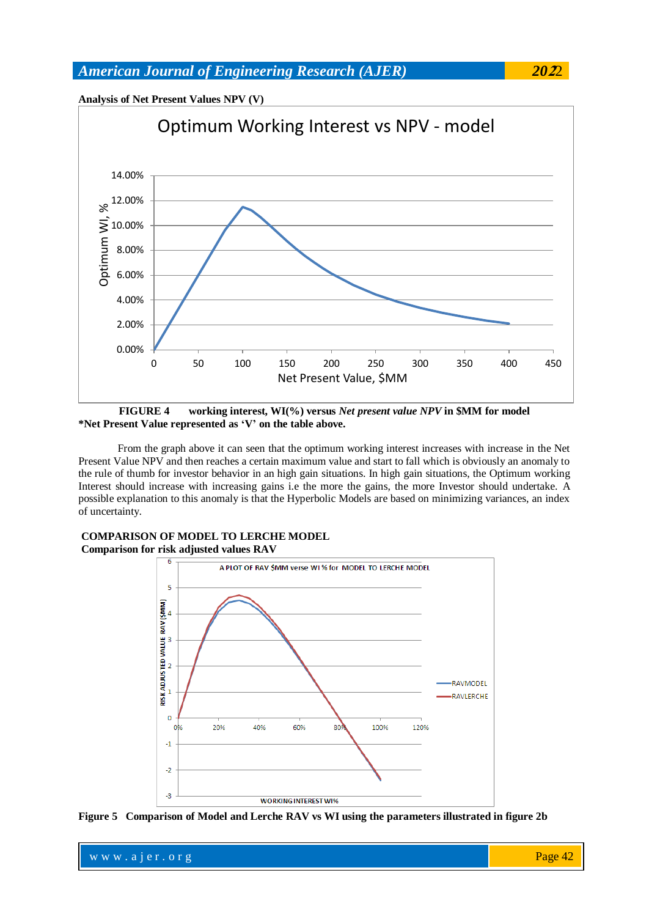



**FIGURE 4 working interest, WI(%) versus** *Net present value NPV* **in \$MM for model \*Net Present Value represented as 'V' on the table above.**

From the graph above it can seen that the optimum working interest increases with increase in the Net Present Value NPV and then reaches a certain maximum value and start to fall which is obviously an anomaly to the rule of thumb for investor behavior in an high gain situations. In high gain situations, the Optimum working Interest should increase with increasing gains i.e the more the gains, the more Investor should undertake. A possible explanation to this anomaly is that the Hyperbolic Models are based on minimizing variances, an index of uncertainty.



**COMPARISON OF MODEL TO LERCHE MODEL Comparison for risk adjusted values RAV**

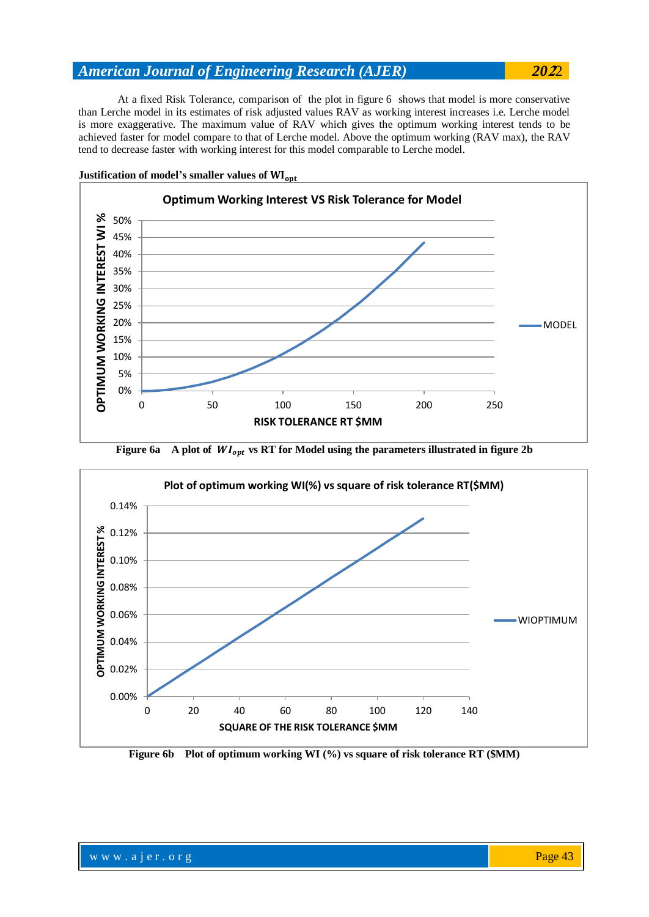At a fixed Risk Tolerance, comparison of the plot in figure 6 shows that model is more conservative than Lerche model in its estimates of risk adjusted values RAV as working interest increases i.e. Lerche model is more exaggerative. The maximum value of RAV which gives the optimum working interest tends to be achieved faster for model compare to that of Lerche model. Above the optimum working (RAV max), the RAV tend to decrease faster with working interest for this model comparable to Lerche model.



**Justification of model's smaller values of** 





**Figure 6b Plot of optimum working WI (%) vs square of risk tolerance RT (\$MM)**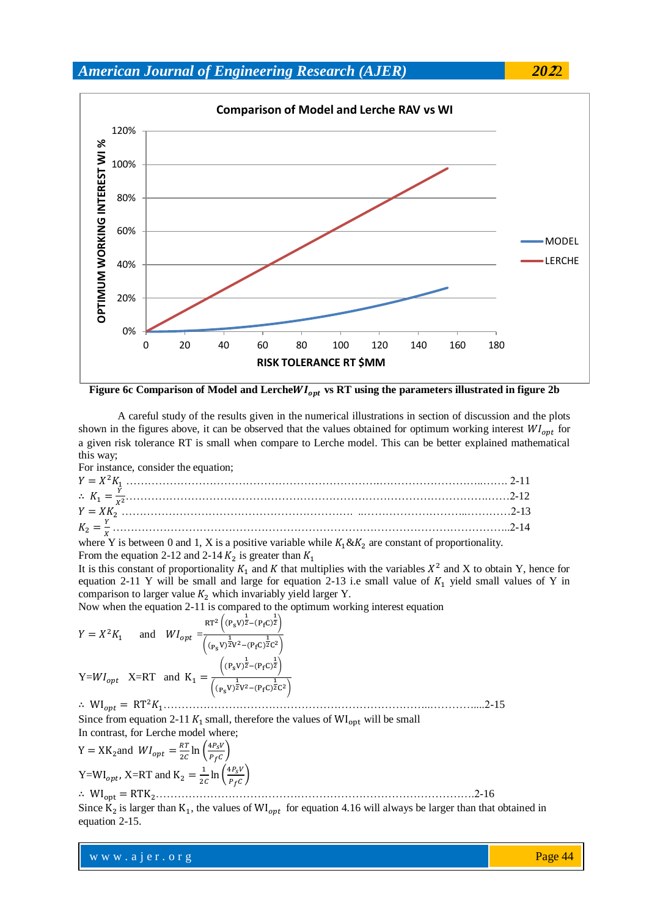

Figure 6c Comparison of Model and LercheWI<sub>opt</sub> vs RT using the parameters illustrated in figure 2b

A careful study of the results given in the numerical illustrations in section of discussion and the plots shown in the figures above, it can be observed that the values obtained for optimum working interest  $WI_{opt}$  for a given risk tolerance RT is small when compare to Lerche model. This can be better explained mathematical this way;

For instance, consider the equation;

where Y is between 0 and 1, X is a positive variable while  $K_1 \& K_2$  are constant of proportionality. From the equation 2-12 and 2-14  $K_2$  is greater than

It is this constant of proportionality  $K_1$  and K that multiplies with the variables  $X^2$  and X to obtain Y, hence for equation 2-11 Y will be small and large for equation 2-13 i.e small value of  $K_1$  yield small values of Y in comparison to larger value  $K_2$  which invariably yield larger Y.

Now when the equation 2-11 is compared to the optimum working interest equation

 and *=* Y= X=RT and ………………………………………………………………..…………....2-15

Since from equation 2-11  $K_1$  small, therefore the values of WI<sub>ont</sub> will be small In contrast, for Lerche model where;

Y = XK<sub>2</sub> and 
$$
WI_{opt} = \frac{RT}{2C} \ln \left( \frac{4P_SV}{P_fC} \right)
$$
  
Y=WI<sub>opt</sub>, X=RT and K<sub>2</sub> =  $\frac{1}{2C} \ln \left( \frac{4P_SV}{P_fC} \right)$ 

…………………………………………………………………………….2-16

Since  $K_2$  is larger than  $K_1$ , the values of WI<sub>ont</sub> for equation 4.16 will always be larger than that obtained in equation 2-15.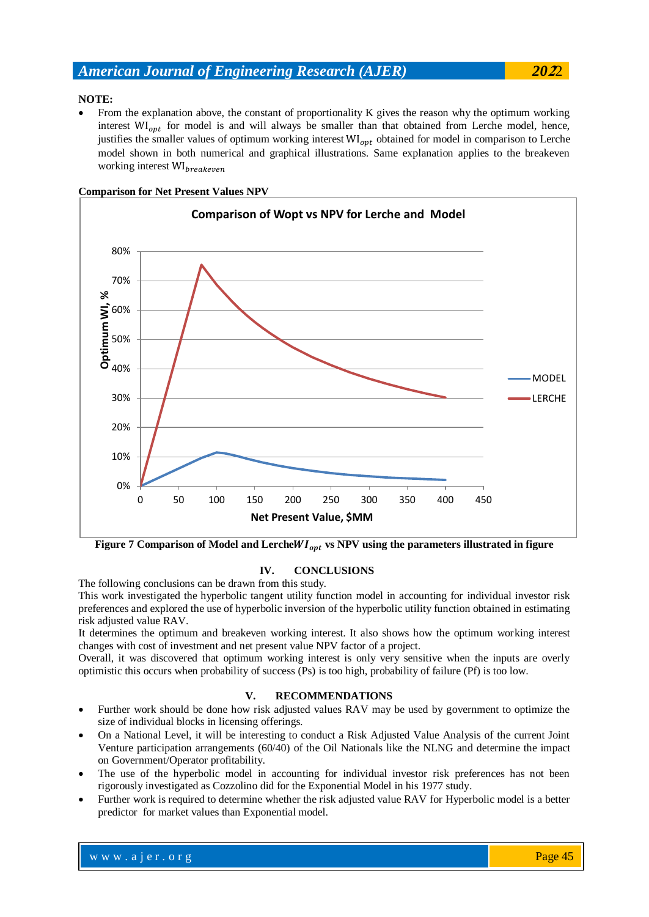## **NOTE:**

 From the explanation above, the constant of proportionality K gives the reason why the optimum working interest  $\text{WI}_{opt}$  for model is and will always be smaller than that obtained from Lerche model, hence, justifies the smaller values of optimum working interest  $WI_{opt}$  obtained for model in comparison to Lerche model shown in both numerical and graphical illustrations. Same explanation applies to the breakeven working interest WI<sub>breakeven</sub>



## **Comparison for Net Present Values NPV**

Figure 7 Comparison of Model and LercheWI<sub>ont</sub> vs NPV using the parameters illustrated in figure

## **IV. CONCLUSIONS**

The following conclusions can be drawn from this study.

This work investigated the hyperbolic tangent utility function model in accounting for individual investor risk preferences and explored the use of hyperbolic inversion of the hyperbolic utility function obtained in estimating risk adjusted value RAV.

It determines the optimum and breakeven working interest. It also shows how the optimum working interest changes with cost of investment and net present value NPV factor of a project.

Overall, it was discovered that optimum working interest is only very sensitive when the inputs are overly optimistic this occurs when probability of success (Ps) is too high, probability of failure (Pf) is too low.

## **V. RECOMMENDATIONS**

- Further work should be done how risk adjusted values RAV may be used by government to optimize the size of individual blocks in licensing offerings.
- On a National Level, it will be interesting to conduct a Risk Adjusted Value Analysis of the current Joint Venture participation arrangements (60/40) of the Oil Nationals like the NLNG and determine the impact on Government/Operator profitability.
- The use of the hyperbolic model in accounting for individual investor risk preferences has not been rigorously investigated as Cozzolino did for the Exponential Model in his 1977 study.
- Further work is required to determine whether the risk adjusted value RAV for Hyperbolic model is a better predictor for market values than Exponential model.